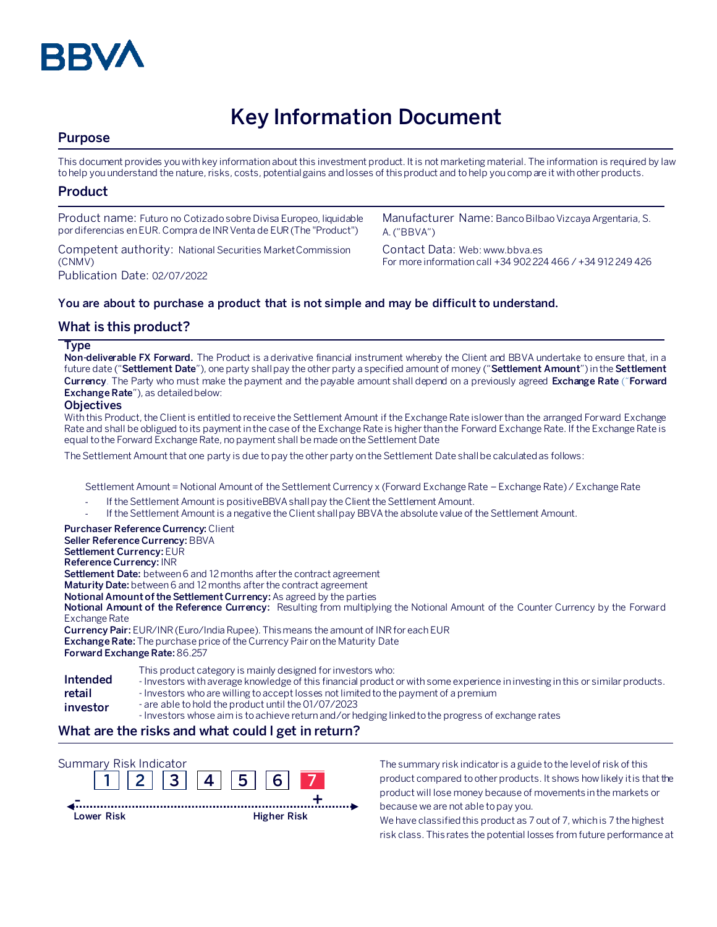

# **Key Information Document**

# **Purpose**

This document provides you with key information about this investment product. It is not marketing material. The information is required by law to help you understand the nature, risks, costs, potential gains and losses of this product and to help you compare it with other products.

# **Product**

| Product name: Futuro no Cotizado sobre Divisa Europeo, liquidable  | Manufacturer Name: Banco Bilbao Vizcaya Argentaria, S.      |
|--------------------------------------------------------------------|-------------------------------------------------------------|
| por diferencias en EUR. Compra de INR Venta de EUR (The "Product") | A. ("BBVA")                                                 |
| Competent authority: National Securities Market Commission         | Contact Data: Web: www.bbya.es                              |
| (CNMV)                                                             | For more information call +34 902 224 466 / +34 912 249 426 |
| Publication Date: 02/07/2022                                       |                                                             |

# **You are about to purchase a product that is not simple and may be difficult to understand.**

# **What is this product?**

#### **Type**

**Non-deliverable FX Forward.** The Product is a derivative financial instrument whereby the Client and BBVA undertake to ensure that, in a future date ("**Settlement Date**"), one party shall pay the other party a specified amount of money ("**Settlement Amount**") in the **Settlement Currency**. The Party who must make the payment and the payable amount shall depend on a previously agreed **Exchange Rate** ("**Forward Exchange Rate**"), as detailed below:

#### **Objectives**

With this Product, the Client is entitled to receive the Settlement Amount if the Exchange Rate islower than the arranged Forward Exchange Rate and shall be obligued to its payment in the case of the Exchange Rate is higher than the Forward Exchange Rate. If the Exchange Rate is equal to the Forward Exchange Rate, no payment shall be made on the Settlement Date

The Settlement Amount that one party is due to pay the other party on the Settlement Date shall be calculated as follows:

Settlement Amount = Notional Amount of the Settlement Currency x (Forward Exchange Rate – Exchange Rate) / Exchange Rate

- If the Settlement Amount is positiveBBVA shall pay the Client the Settlement Amount.
- If the Settlement Amount is a negative the Client shall pay BBVA the absolute value of the Settlement Amount.

# **Purchaser Reference Currency:**Client

**Seller Reference Currency:** BBVA **Settlement Currency:** EUR

**Reference Currency:** INR

**Settlement Date:** between 6 and 12 months after the contract agreement

**Maturity Date:** between 6 and 12 months after the contract agreement

**Notional Amount of the Settlement Currency:** As agreed by the parties

**Notional Amount of the Reference Currency:** Resulting from multiplying the Notional Amount of the Counter Currency by the Forward Exchange Rate

**Currency Pair:** EUR/INR (Euro/India Rupee). This means the amount of INR for each EUR **Exchange Rate:** The purchase price of the Currency Pair on the Maturity Date **Forward Exchange Rate:** 86.257

|          | This product category is mainly designed for investors who:                                                                    |
|----------|--------------------------------------------------------------------------------------------------------------------------------|
| Intended | - Investors with average knowledge of this financial product or with some experience in investing in this or similar products. |
| retail   | - Investors who are willing to accept losses not limited to the payment of a premium                                           |
|          | $\sim$ 2002) 501 (0.4+ liteur to reduct until the 0.1 (0.7 (2002)                                                              |

- **investor** - are able to hold the product until the 01/07/2023
- Investors whose aim is to achieve return and/or hedging linked to the progress of exchange rates

#### **What are the risks and what could I get in return?**



The summary risk indicator is a guide to the level of risk of this product compared to other products. It shows how likely it is that the product will lose money because of movements in the markets or because we are not able to pay you.

We have classified this product as 7 out of 7, which is 7 the highest risk class. This rates the potential losses from future performance at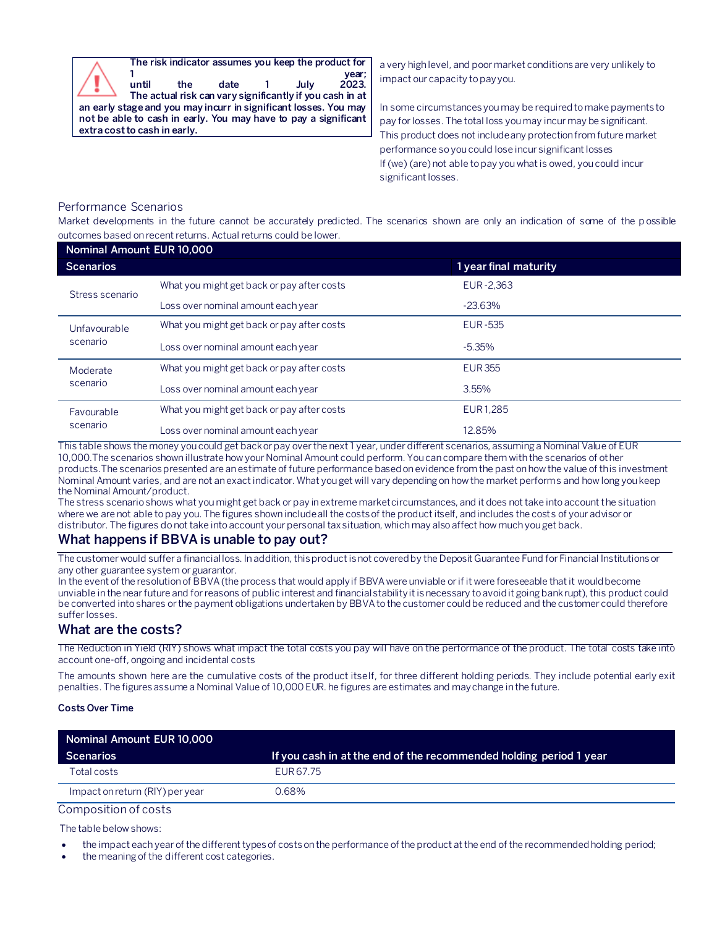**The risk indicator assumes you keep the product for 1 year;**

**until the date 1 July 2023. The actual risk can vary significantly if you cash in at an early stage and you may incurr in significant losses. You may not be able to cash in early. You may have to pay a significant extra cost to cash in early.**

a very high level, and poor market conditions are very unlikely to impact our capacity to pay you.

In some circumstances you may be required to make payments to pay for losses. The total loss you may incur may be significant. This product does not include any protection from future market performance so you could lose incur significant losses If (we) (are) not able to pay you what is owed, you could incur significant losses.

# Performance Scenarios

Market developments in the future cannot be accurately predicted. The scenarios shown are only an indication of some of the p ossible outcomes based on recent returns. Actual returns could be lower.

| Nominal Amount EUR 10,000 |                                            |                       |  |  |
|---------------------------|--------------------------------------------|-----------------------|--|--|
| <b>Scenarios</b>          |                                            | 1 year final maturity |  |  |
| Stress scenario           | What you might get back or pay after costs | EUR-2.363             |  |  |
|                           | Loss over nominal amount each year         | $-23.63\%$            |  |  |
| Unfavourable<br>scenario  | What you might get back or pay after costs | EUR-535               |  |  |
|                           | Loss over nominal amount each year         | $-5.35\%$             |  |  |
| Moderate<br>scenario      | What you might get back or pay after costs | <b>EUR 355</b>        |  |  |
|                           | Loss over nominal amount each year         | 3.55%                 |  |  |
| Favourable<br>scenario    | What you might get back or pay after costs | EUR1.285              |  |  |
|                           | Loss over nominal amount each year         | 12.85%                |  |  |

This table shows the money you could get back or pay over the next 1 year, under different scenarios, assuming a Nominal Value of EUR 10,000.The scenarios shown illustrate how your Nominal Amount could perform. You can compare them with the scenarios of other products.The scenarios presented are an estimate of future performance based on evidence from the past on how the value of this investment Nominal Amount varies, and are not an exact indicator. What you get will vary depending on how the market performs and how long you keep the Nominal Amount/product.

The stress scenario shows what you might get back or pay in extreme market circumstances, and it does not take into account the situation where we are not able to pay you. The figures shown include all the costs of the product itself, and includes the costs of your advisor or distributor. The figures do not take into account your personal tax situation, which may also affect how much you get back.

# **What happens if BBVA is unable to pay out?**

The customer would suffer a financial loss. In addition, this product is not covered by the Deposit Guarantee Fund for Financial Institutions or any other guarantee system or guarantor.

In the event of the resolution of BBVA (the process that would apply if BBVA were unviable or if it were foreseeable that it would become unviable in the near future and for reasons of public interest and financial stability it is necessary to avoid it going bankrupt), this product could be converted into shares or the payment obligations undertaken by BBVA to the customer could be reduced and the customer could therefore suffer losses.

# **What are the costs?**

The Reduction in Yield (RIY) shows what impact the total costs you pay will have on the performance of the product. The total costs take into account one-off, ongoing and incidental costs

The amounts shown here are the cumulative costs of the product itself, for three different holding periods. They include potential early exit penalties. The figures assume a Nominal Value of 10,000 EUR. he figures are estimates and may change in the future.

#### **Costs Over Time**

| Nominal Amount EUR 10,000       |                                                                    |  |
|---------------------------------|--------------------------------------------------------------------|--|
| Scenarios                       | If you cash in at the end of the recommended holding period 1 year |  |
| Total costs                     | EUR 67.75                                                          |  |
| Impact on return (RIY) per year | 0.68%                                                              |  |

Composition of costs

The table below shows:

- the impact each year of the different types of costs on the performance of the product at the end of the recommended holding period;
- the meaning of the different cost categories.